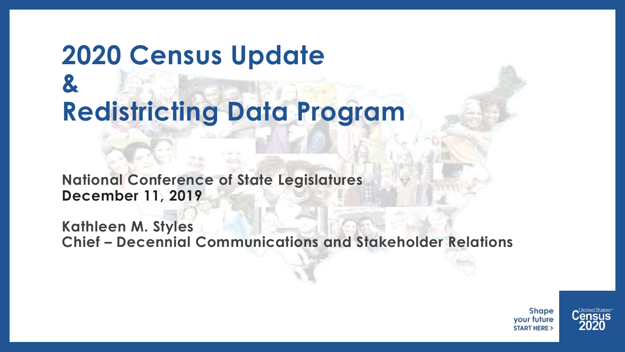### **2020 Census Update & Redistricting Data Program**

**National Conference of State Legislatures December 11, 2019**

**Kathleen M. Styles Chief – Decennial Communications and Stakeholder Relations**

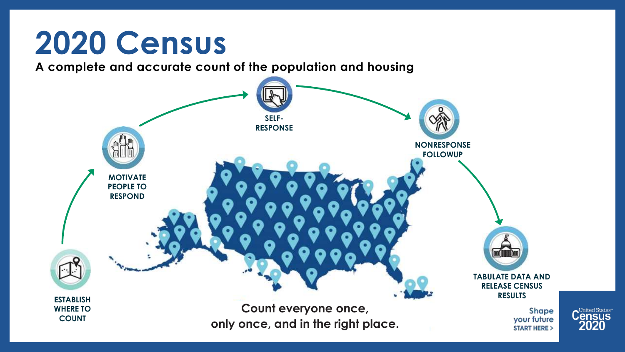### **2020 Census**

**A complete and accurate count of the population and housing**



Jnited States<sup>®</sup>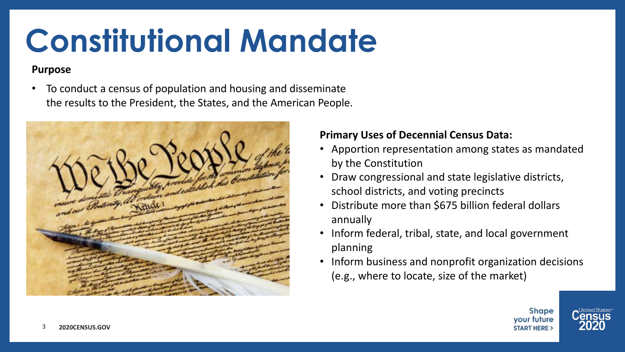### **Constitutional Mandate**

#### **Purpose**

• To conduct a census of population and housing and disseminate the results to the President, the States, and the American People.



#### **Primary Uses of Decennial Census Data:**

- Apportion representation among states as mandated by the Constitution
- Draw congressional and state legislative districts, school districts, and voting precincts
- Distribute more than \$675 billion federal dollars annually
- Inform federal, tribal, state, and local government planning
- Inform business and nonprofit organization decisions (e.g., where to locate, size of the market)



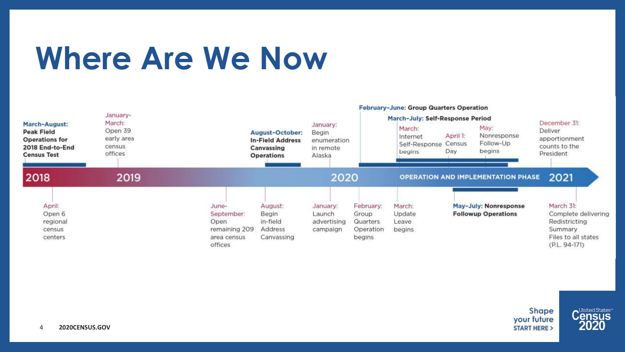### **Where Are We Now**

|                                                                                                      | January-<br>March:<br>Open 39<br>early area<br>census<br>offices | February-June: Group Quarters Operation                                |                                                                               |                                                         |                                                              |                                                                                   |                           |                                                     |                                                                                                        |
|------------------------------------------------------------------------------------------------------|------------------------------------------------------------------|------------------------------------------------------------------------|-------------------------------------------------------------------------------|---------------------------------------------------------|--------------------------------------------------------------|-----------------------------------------------------------------------------------|---------------------------|-----------------------------------------------------|--------------------------------------------------------------------------------------------------------|
| March-August:<br><b>Peak Field</b><br><b>Operations for</b><br>2018 End-to-End<br><b>Census Test</b> |                                                                  |                                                                        | August-October:<br><b>In-Field Address</b><br>Canvassing<br><b>Operations</b> | January:<br>Begin<br>enumeration<br>in remote<br>Alaska |                                                              | March-July: Self-Response Period<br>March:<br>Internet<br>Self-Response<br>begins | April 1:<br>Census<br>Day | May:<br>Nonresponse<br>Follow-Up<br>begins          | December 31:<br>Deliver<br>apportionment<br>counts to the<br>President                                 |
| 2018                                                                                                 | 2019                                                             |                                                                        |                                                                               | 2020                                                    |                                                              |                                                                                   |                           | <b>OPERATION AND IMPLEMENTATION PHASE</b>           | 2021                                                                                                   |
| April:<br>Open 6<br>regional<br>census<br>centers                                                    |                                                                  | June-<br>September:<br>Open<br>remaining 209<br>area census<br>offices | August:<br>Begin<br>in-field<br>Address<br>Canvassing                         | January:<br>Launch<br>advertising<br>campaign           | February:<br>Group<br><b>Quarters</b><br>Operation<br>begins | March:<br>Update<br>Leave<br>begins                                               |                           | May-July: Nonresponse<br><b>Followup Operations</b> | March 31:<br>Complete delivering<br>Redistricting<br>Summary<br>Files to all states<br>$(P.L. 94-171)$ |



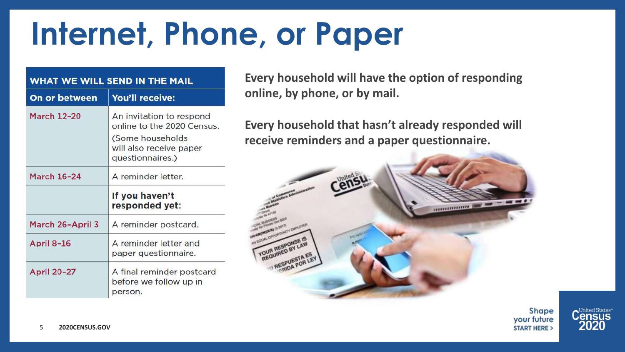### **Internet, Phone, or Paper**

| WHAT WE WILL SEND IN THE MAIL |                                                                                                                          |  |  |  |  |
|-------------------------------|--------------------------------------------------------------------------------------------------------------------------|--|--|--|--|
| On or between                 | You'll receive:                                                                                                          |  |  |  |  |
| <b>March 12-20</b>            | An invitation to respond<br>online to the 2020 Census<br>(Some households<br>will also receive paper<br>questionnaires.) |  |  |  |  |
| <b>March 16-24</b>            | A reminder letter.                                                                                                       |  |  |  |  |
|                               | If you haven't<br>responded yet:                                                                                         |  |  |  |  |
| March 26-April 3              | A reminder postcard.                                                                                                     |  |  |  |  |
| April 8-16                    | A reminder letter and<br>paper questionnaire.                                                                            |  |  |  |  |
| <b>April 20-27</b>            | A final reminder postcard<br>before we follow up in<br>person.                                                           |  |  |  |  |

**Every household will have the option of responding online, by phone, or by mail.** 

**Every household that hasn't already responded will receive reminders and a paper questionnaire.** 



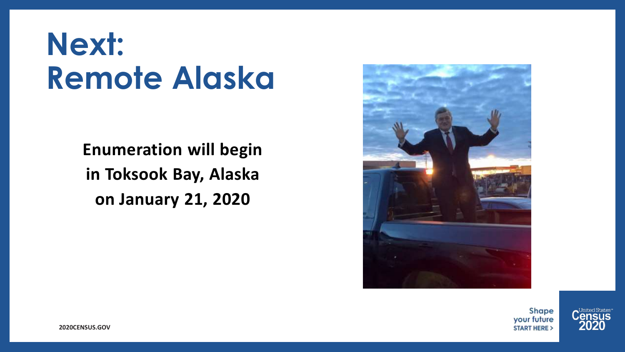### **Next: Remote Alaska**

**Enumeration will begin in Toksook Bay, Alaska on January 21, 2020**



Shape your future **START HERE >** 



**2020CENSUS.GOV**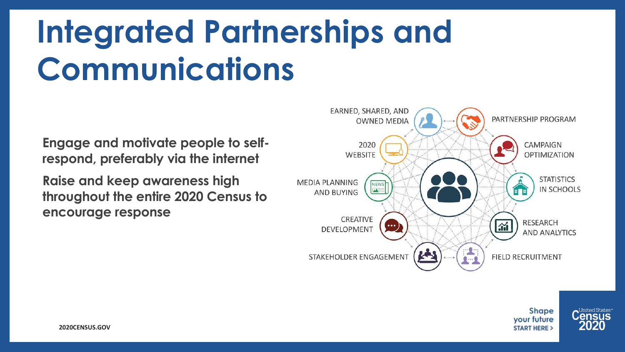## **Integrated Partnerships and Communications**

**Engage and motivate people to selfrespond, preferably via the internet**

**Raise and keep awareness high throughout the entire 2020 Census to encourage response**







**2020CENSUS.GOV**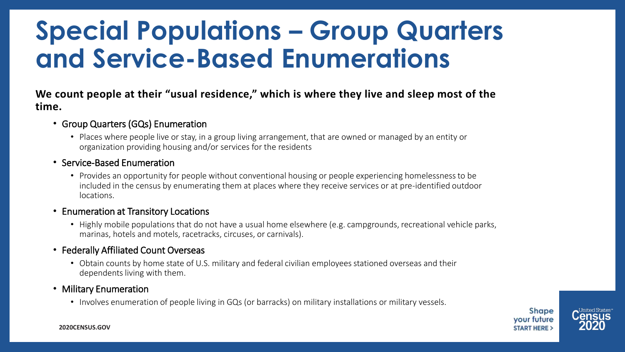### **Special Populations – Group Quarters and Service-Based Enumerations**

**We count people at their "usual residence," which is where they live and sleep most of the time.**

- Group Quarters (GQs) Enumeration
	- Places where people live or stay, in a group living arrangement, that are owned or managed by an entity or organization providing housing and/or services for the residents

#### • Service-Based Enumeration

• Provides an opportunity for people without conventional housing or people experiencing homelessness to be included in the census by enumerating them at places where they receive services or at pre-identified outdoor locations.

#### • Enumeration at Transitory Locations

• Highly mobile populations that do not have a usual home elsewhere (e.g. campgrounds, recreational vehicle parks, marinas, hotels and motels, racetracks, circuses, or carnivals).

#### • Federally Affiliated Count Overseas

• Obtain counts by home state of U.S. military and federal civilian employees stationed overseas and their dependents living with them.

#### • Military Enumeration

• Involves enumeration of people living in GQs (or barracks) on military installations or military vessels.

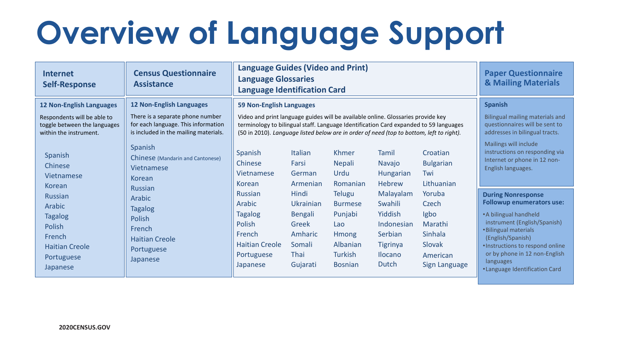# **Overview of Language Support**

| <b>Internet</b><br><b>Self-Response</b>                                                                                  | <b>Census Questionnaire</b><br><b>Assistance</b>                                                                                                                                                       | <b>Language Guides (Video and Print)</b><br><b>Language Glossaries</b><br><b>Language Identification Card</b>                                                                                                                                                                                     |                                                                                               |                                                                                                            |                                                                                                               | <b>Paper Questionnaire</b><br><b>&amp; Mailing Materials</b>                         |                                                                                                                                                                                                                                                                                                 |
|--------------------------------------------------------------------------------------------------------------------------|--------------------------------------------------------------------------------------------------------------------------------------------------------------------------------------------------------|---------------------------------------------------------------------------------------------------------------------------------------------------------------------------------------------------------------------------------------------------------------------------------------------------|-----------------------------------------------------------------------------------------------|------------------------------------------------------------------------------------------------------------|---------------------------------------------------------------------------------------------------------------|--------------------------------------------------------------------------------------|-------------------------------------------------------------------------------------------------------------------------------------------------------------------------------------------------------------------------------------------------------------------------------------------------|
| <b>12 Non-English Languages</b><br>Respondents will be able to<br>toggle between the languages<br>within the instrument. | <b>12 Non-English Languages</b><br>There is a separate phone number<br>for each language. This information<br>is included in the mailing materials.                                                    | 59 Non-English Languages<br>Video and print language guides will be available online. Glossaries provide key<br>terminology to bilingual staff. Language Identification Card expanded to 59 languages<br>(50 in 2010). Language listed below are in order of need (top to bottom, left to right). |                                                                                               |                                                                                                            |                                                                                                               |                                                                                      | <b>Spanish</b><br>Bilingual mailing materials and<br>questionnaires will be sent to<br>addresses in bilingual tracts.                                                                                                                                                                           |
| Spanish<br>Chinese<br>Vietnamese<br>Korean                                                                               | <b>Spanish</b><br>Chinese (Mandarin and Cantonese)<br>Vietnamese<br><b>Korean</b><br><b>Russian</b><br>Arabic<br><b>Tagalog</b><br>Polish<br>French<br><b>Haitian Creole</b><br>Portuguese<br>Japanese | Spanish<br>Chinese<br>Vietnamese<br>Korean                                                                                                                                                                                                                                                        | <b>Italian</b><br>Farsi<br>German<br>Armenian                                                 | Khmer<br><b>Nepali</b><br>Urdu<br>Romanian                                                                 | Tamil<br>Navajo<br>Hungarian<br><b>Hebrew</b>                                                                 | Croatian<br><b>Bulgarian</b><br>Twi<br>Lithuanian                                    | Mailings will include<br>instructions on responding via<br>Internet or phone in 12 non-<br>English languages.                                                                                                                                                                                   |
| <b>Russian</b><br>Arabic<br><b>Tagalog</b><br>Polish<br>French<br><b>Haitian Creole</b><br>Portuguese<br>Japanese        |                                                                                                                                                                                                        | Russian<br>Arabic<br><b>Tagalog</b><br>Polish<br>French<br><b>Haitian Creole</b><br>Portuguese<br>Japanese                                                                                                                                                                                        | Hindi<br>Ukrainian<br><b>Bengali</b><br>Greek<br>Amharic<br>Somali<br><b>Thai</b><br>Gujarati | <b>Telugu</b><br><b>Burmese</b><br>Punjabi<br>Lao<br><b>Hmong</b><br>Albanian<br>Turkish<br><b>Bosnian</b> | Malayalam<br>Swahili<br>Yiddish<br>Indonesian<br>Serbian<br><b>Tigrinya</b><br><b>Ilocano</b><br><b>Dutch</b> | Yoruba<br>Czech<br>Igbo<br>Marathi<br>Sinhala<br>Slovak<br>American<br>Sign Language | <b>During Nonresponse</b><br><b>Followup enumerators use:</b><br>• A bilingual handheld<br>instrument (English/Spanish)<br><b>•Bilingual materials</b><br>(English/Spanish)<br>· Instructions to respond online<br>or by phone in 12 non-English<br>languages<br>• Language Identification Card |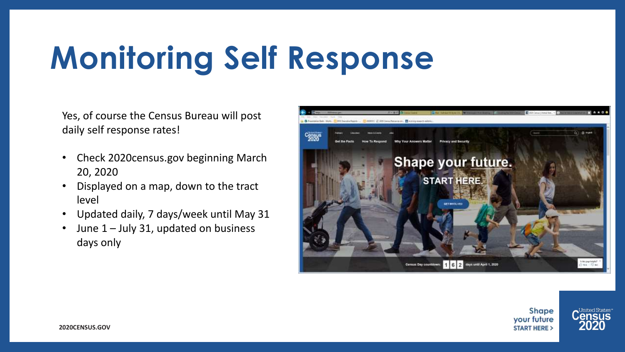# **Monitoring Self Response**

Yes, of course the Census Bureau will post daily self response rates!

- Check 2020census.gov beginning March 20, 2020
- Displayed on a map, down to the tract level
- Updated daily, 7 days/week until May 31
- June 1 July 31, updated on business days only



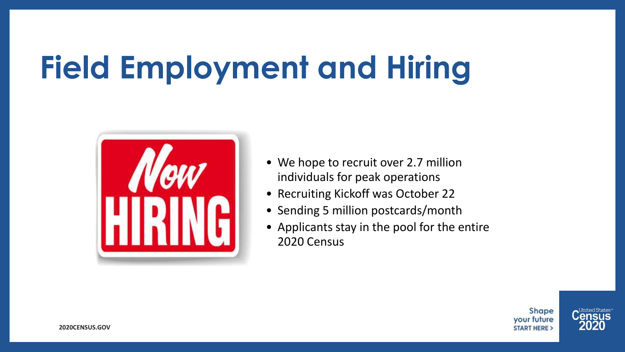# **Field Employment and Hiring**



- We hope to recruit over 2.7 million individuals for peak operations
- Recruiting Kickoff was October 22
- Sending 5 million postcards/month
- Applicants stay in the pool for the entire 2020 Census

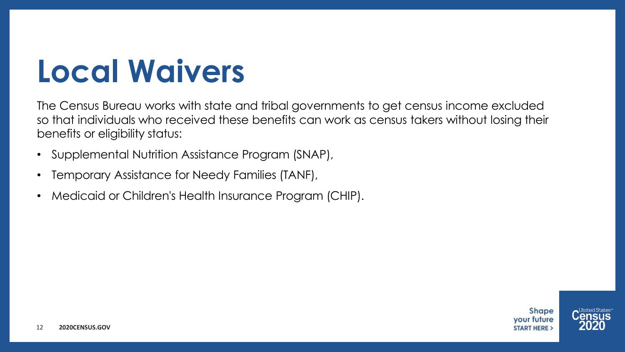### **Local Waivers**

The Census Bureau works with state and tribal governments to get census income excluded so that individuals who received these benefits can work as census takers without losing their benefits or eligibility status:

- Supplemental Nutrition Assistance Program (SNAP),
- Temporary Assistance for Needy Families (TANF),
- Medicaid or Children's Health Insurance Program (CHIP).

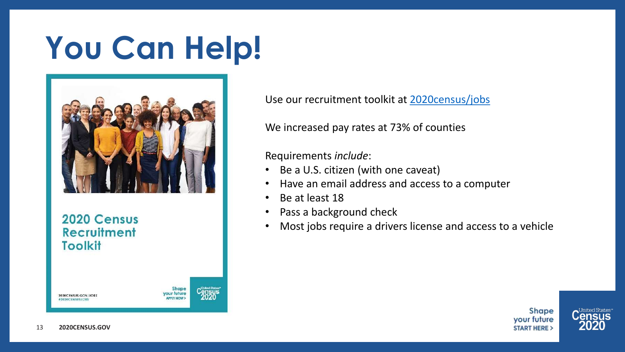### **You Can Help!**



2020 Census **Recruitment Toolkit** 

> **Shape** your future **APPLY NOW**

Use our recruitment toolkit at [2020census/jobs](https://2020census.gov/content/dam/2020census/materials/partners/2019-10/2020-recruitment-toolkit-101519.pdf)

We increased pay rates at 73% of counties

Requirements *include*:

- Be a U.S. citizen (with one caveat)
- Have an email address and access to a computer
- Be at least 18
- Pass a background check
- Most jobs require a drivers license and access to a vehicle





2020CENSUS.GOV/JOBS

#2020CENSUSIOR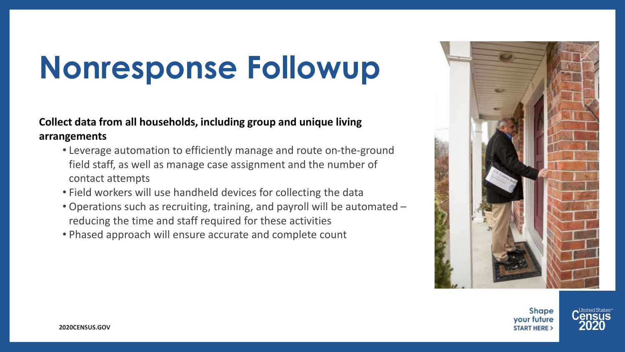### **Nonresponse Followup**

#### **Collect data from all households, including group and unique living arrangements**

- Leverage automation to efficiently manage and route on-the-ground field staff, as well as manage case assignment and the number of contact attempts
- Field workers will use handheld devices for collecting the data
- Operations such as recruiting, training, and payroll will be automated reducing the time and staff required for these activities
- Phased approach will ensure accurate and complete count



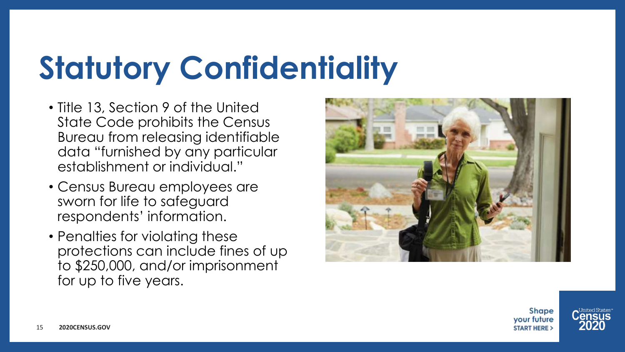# **Statutory Confidentiality**

- Title 13, Section 9 of the United State Code prohibits the Census Bureau from releasing identifiable data "furnished by any particular establishment or individual."
- Census Bureau employees are sworn for life to safeguard respondents' information.
- Penalties for violating these protections can include fines of up to \$250,000, and/or imprisonment for up to five years.



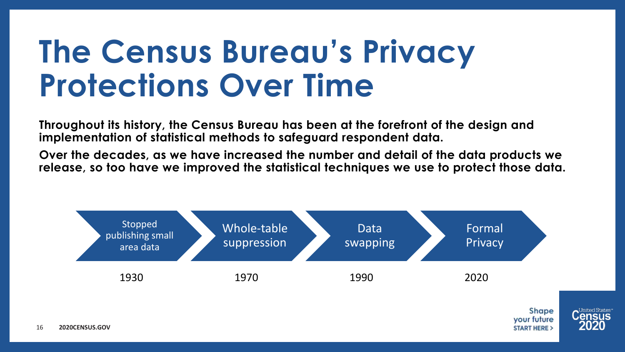### **The Census Bureau's Privacy Protections Over Time**

**Throughout its history, the Census Bureau has been at the forefront of the design and implementation of statistical methods to safeguard respondent data.**

**Over the decades, as we have increased the number and detail of the data products we release, so too have we improved the statistical techniques we use to protect those data.**

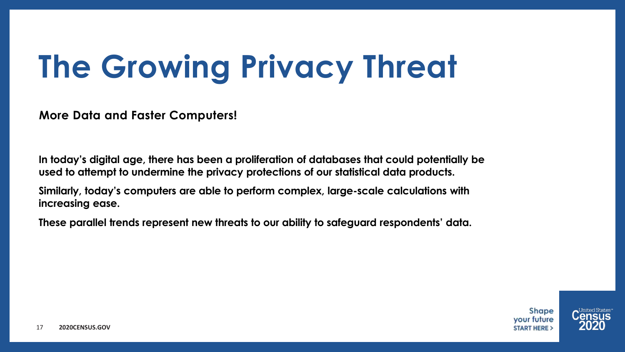# **The Growing Privacy Threat**

**More Data and Faster Computers!**

**In today's digital age, there has been a proliferation of databases that could potentially be used to attempt to undermine the privacy protections of our statistical data products.**

**Similarly, today's computers are able to perform complex, large-scale calculations with increasing ease.**

**These parallel trends represent new threats to our ability to safeguard respondents' data.**

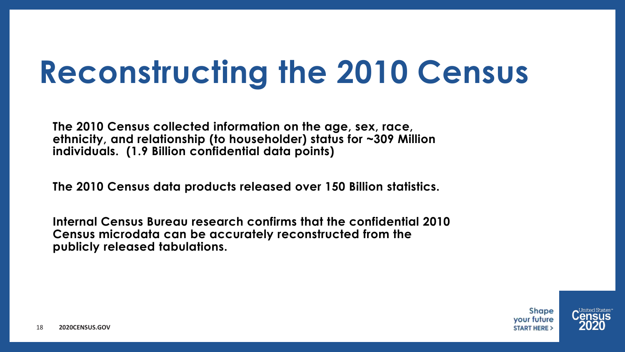### **Reconstructing the 2010 Census**

**The 2010 Census collected information on the age, sex, race, ethnicity, and relationship (to householder) status for ~309 Million individuals. (1.9 Billion confidential data points)**

**The 2010 Census data products released over 150 Billion statistics.**

**Internal Census Bureau research confirms that the confidential 2010 Census microdata can be accurately reconstructed from the publicly released tabulations.**

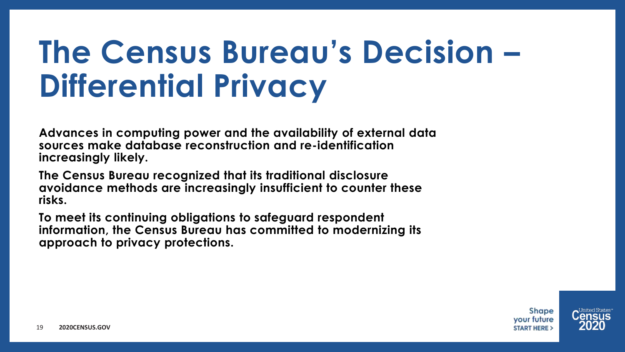### **The Census Bureau's Decision – Differential Privacy**

**Advances in computing power and the availability of external data sources make database reconstruction and re-identification increasingly likely.**

**The Census Bureau recognized that its traditional disclosure avoidance methods are increasingly insufficient to counter these risks.**

**To meet its continuing obligations to safeguard respondent information, the Census Bureau has committed to modernizing its approach to privacy protections.**

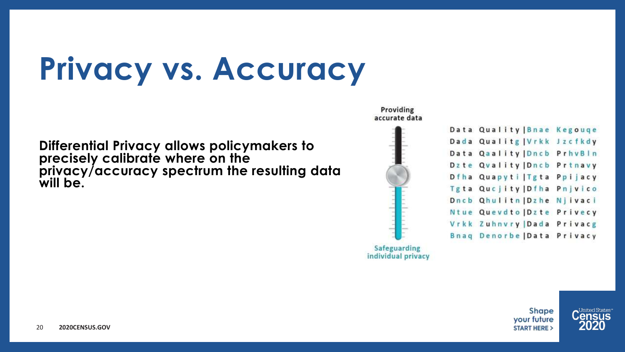### **Privacy vs. Accuracy**

**Differential Privacy allows policymakers to precisely calibrate where on the privacy/accuracy spectrum the resulting data will be.**



| Data Quality Bnae Kegouqe   |  |
|-----------------------------|--|
| Dada Qualitg   Vrkk Jzcfkdy |  |
| Data Qaality Dncb PrhvBln   |  |
| Dzte Qvality   Dncb Prtnavy |  |
| Dfha Quapyti Tgta Ppijacy   |  |
| Tgta Qucjity   Dfha Pnjvico |  |
| Dncb Qhulitn Dzhe Njivaci   |  |
| Ntue Quevdto Dzte Privecy   |  |
| Vrkk Zuhnvry   Dada Privacg |  |
| Bnag Denorbe   Data Privacy |  |
|                             |  |



United States<sup>.</sup>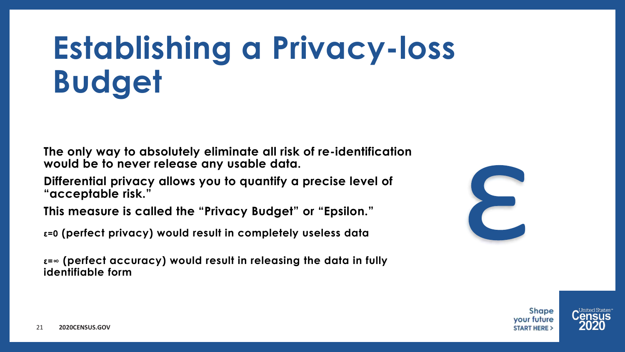### **Establishing a Privacy-loss Budget**

**The only way to absolutely eliminate all risk of re-identification would be to never release any usable data.**

**Differential privacy allows you to quantify a precise level of "acceptable risk."**

**This measure is called the "Privacy Budget" or "Epsilon."**

**ε=0 (perfect privacy) would result in completely useless data**

**ε=∞ (perfect accuracy) would result in releasing the data in fully identifiable form**



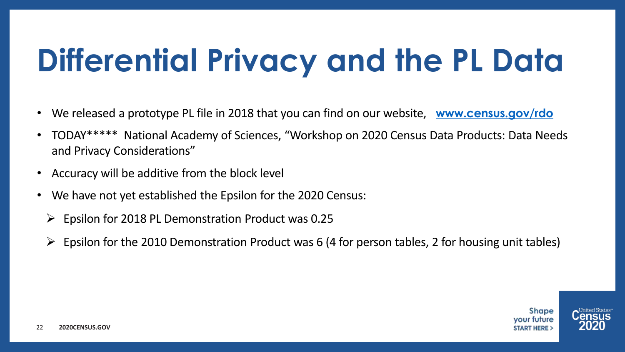# **Differential Privacy and the PL Data**

- We released a prototype PL file in 2018 that you can find on our website, **[www.census.gov/rdo](http://www.census.gov/rdo)**
- TODAY\*\*\*\*\* National Academy of Sciences, "Workshop on 2020 Census Data Products: Data Needs and Privacy Considerations"
- Accuracy will be additive from the block level
- We have not yet established the Epsilon for the 2020 Census:
	- $\triangleright$  Epsilon for 2018 PL Demonstration Product was 0.25
	- $\triangleright$  Epsilon for the 2010 Demonstration Product was 6 (4 for person tables, 2 for housing unit tables)



**Shape** vour future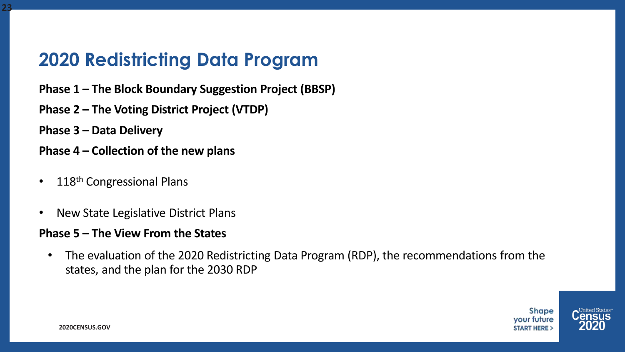### **2020 Redistricting Data Program**

- **Phase 1 – The Block Boundary Suggestion Project (BBSP)**
- **Phase 2 – The Voting District Project (VTDP)**
- **Phase 3 – Data Delivery**

**23**

- **Phase 4 – Collection of the new plans**
- 118<sup>th</sup> Congressional Plans
- New State Legislative District Plans

#### **Phase 5 – The View From the States**

• The evaluation of the 2020 Redistricting Data Program (RDP), the recommendations from the states, and the plan for the 2030 RDP



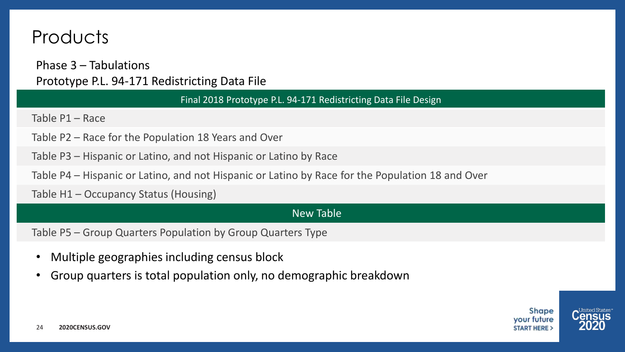### **Products**

Phase 3 – Tabulations Prototype P.L. 94-171 Redistricting Data File

Final 2018 Prototype P.L. 94-171 Redistricting Data File Design

Table P1 – Race

- Table P2 Race for the Population 18 Years and Over
- Table P3 Hispanic or Latino, and not Hispanic or Latino by Race
- Table P4 Hispanic or Latino, and not Hispanic or Latino by Race for the Population 18 and Over

Table H1 – Occupancy Status (Housing)

#### New Table

Table P5 – Group Quarters Population by Group Quarters Type

- Multiple geographies including census block
- Group quarters is total population only, no demographic breakdown



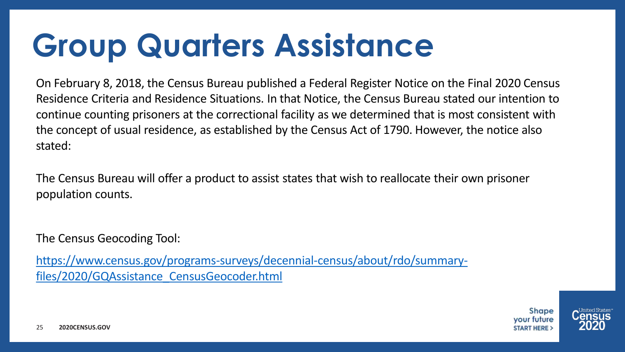## **Group Quarters Assistance**

On February 8, 2018, the Census Bureau published a Federal Register Notice on the Final 2020 Census Residence Criteria and Residence Situations. In that Notice, the Census Bureau stated our intention to continue counting prisoners at the correctional facility as we determined that is most consistent with the concept of usual residence, as established by the Census Act of 1790. However, the notice also stated:

The Census Bureau will offer a product to assist states that wish to reallocate their own prisoner population counts.

The Census Geocoding Tool:

[https://www.census.gov/programs-surveys/decennial-census/about/rdo/summary](https://www.census.gov/programs-surveys/decennial-census/about/rdo/summary-files/2020/GQAssistance_CensusGeocoder.html)files/2020/GQAssistance\_CensusGeocoder.html

> **Shape** vour future

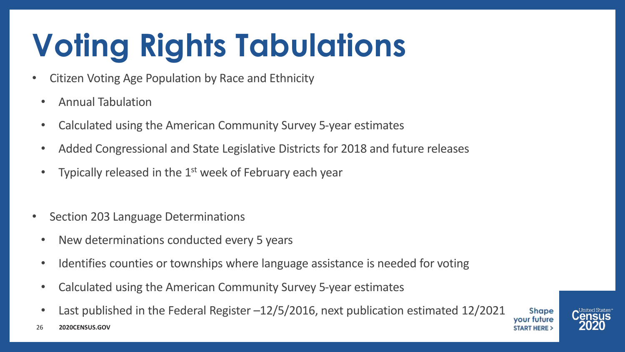# **Voting Rights Tabulations**

- Citizen Voting Age Population by Race and Ethnicity
	- Annual Tabulation
	- Calculated using the American Community Survey 5-year estimates
	- Added Congressional and State Legislative Districts for 2018 and future releases
	- Typically released in the 1<sup>st</sup> week of February each year
- Section 203 Language Determinations
	- New determinations conducted every 5 years
	- Identifies counties or townships where language assistance is needed for voting
	- Calculated using the American Community Survey 5-year estimates
	- Last published in the Federal Register –12/5/2016, next publication estimated 12/2021



**2020CENSUS.GOV** 26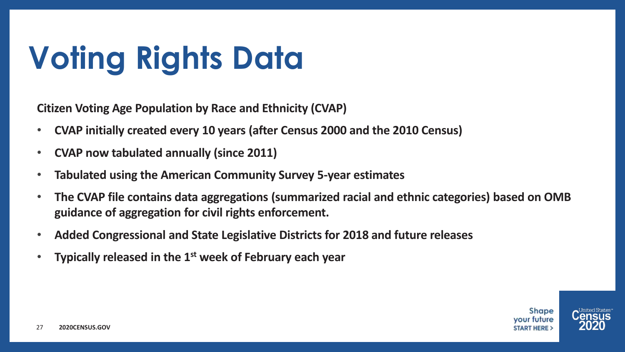# **Voting Rights Data**

**Citizen Voting Age Population by Race and Ethnicity (CVAP)**

- **CVAP initially created every 10 years (after Census 2000 and the 2010 Census)**
- **CVAP now tabulated annually (since 2011)**
- **Tabulated using the American Community Survey 5-year estimates**
- **The CVAP file contains data aggregations (summarized racial and ethnic categories) based on OMB guidance of aggregation for civil rights enforcement.**
- **Added Congressional and State Legislative Districts for 2018 and future releases**
- **Typically released in the 1st week of February each year**

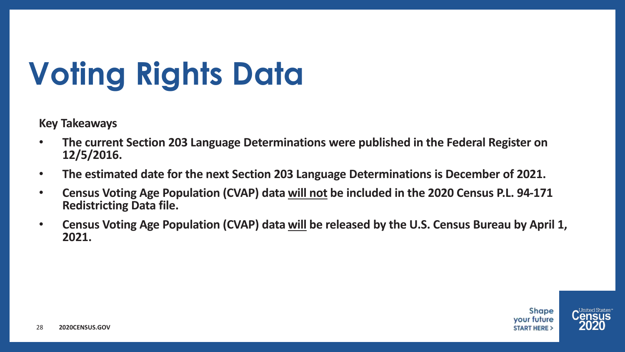# **Voting Rights Data**

**Key Takeaways**

- **The current Section 203 Language Determinations were published in the Federal Register on 12/5/2016.**
- **The estimated date for the next Section 203 Language Determinations is December of 2021.**
- **Census Voting Age Population (CVAP) data will not be included in the 2020 Census P.L. 94-171 Redistricting Data file.**
- **Census Voting Age Population (CVAP) data will be released by the U.S. Census Bureau by April 1, 2021.**